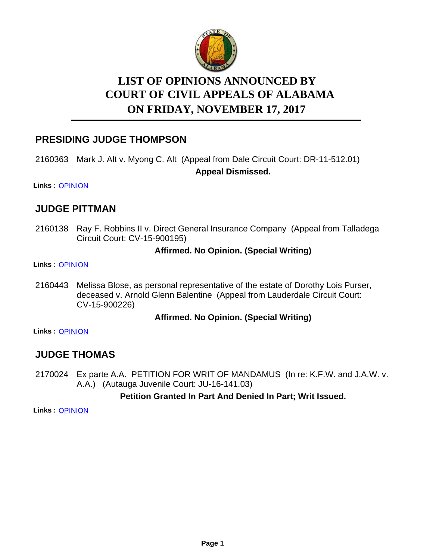

# **LIST OF OPINIONS ANNOUNCED BY ON FRIDAY, NOVEMBER 17, 2017 COURT OF CIVIL APPEALS OF ALABAMA**

# **PRESIDING JUDGE THOMPSON**

2160363 Mark J. Alt v. Myong C. Alt (Appeal from Dale Circuit Court: DR-11-512.01) **Appeal Dismissed.**

**Links :** [OPINION](https://acis.alabama.gov/displaydocs.cfm?no=838731&event=5280HTZYI)

# **JUDGE PITTMAN**

2160138 Ray F. Robbins II v. Direct General Insurance Company (Appeal from Talladega Circuit Court: CV-15-900195)

### **Affirmed. No Opinion. (Special Writing)**

**Links :** [OPINION](https://acis.alabama.gov/displaydocs.cfm?no=838729&event=5280HTZN4)

2160443 Melissa Blose, as personal representative of the estate of Dorothy Lois Purser, deceased v. Arnold Glenn Balentine (Appeal from Lauderdale Circuit Court: CV-15-900226)

### **Affirmed. No Opinion. (Special Writing)**

**Links :** [OPINION](https://acis.alabama.gov/displaydocs.cfm?no=838732&event=5280HU038)

# **JUDGE THOMAS**

2170024 Ex parte A.A. PETITION FOR WRIT OF MANDAMUS (In re: K.F.W. and J.A.W. v. A.A.) (Autauga Juvenile Court: JU-16-141.03)

### **Petition Granted In Part And Denied In Part; Writ Issued.**

**Links :** [OPINION](https://acis.alabama.gov/displaydocs.cfm?no=838735&event=5280HU0SS)